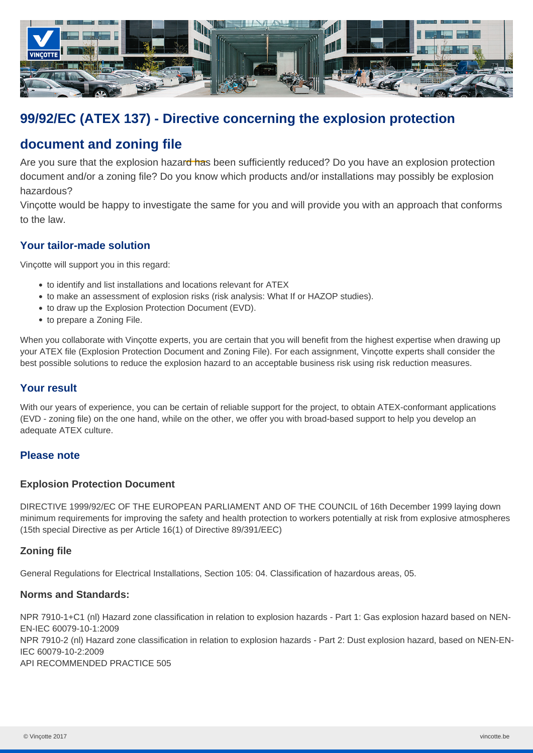

# **99/92/EC (ATEX 137) - Directive concerning the explosion protection**

## **document and zoning file**

Are you sure that the explosion hazard has been sufficiently reduced? Do you have an explosion protection document and/or a zoning file? Do you know which products and/or installations may possibly be explosion hazardous?

Vinçotte would be happy to investigate the same for you and will provide you with an approach that conforms to the law.

### **Your tailor-made solution**

Vinçotte will support you in this regard:

- to identify and list installations and locations relevant for ATEX
- to make an assessment of explosion risks (risk analysis: What If or HAZOP studies).
- to draw up the Explosion Protection Document (EVD).
- to prepare a Zoning File.

When you collaborate with Vinçotte experts, you are certain that you will benefit from the highest expertise when drawing up your ATEX file (Explosion Protection Document and Zoning File). For each assignment, Vinçotte experts shall consider the best possible solutions to reduce the explosion hazard to an acceptable business risk using risk reduction measures.

#### **Your result**

With our years of experience, you can be certain of reliable support for the project, to obtain ATEX-conformant applications (EVD - zoning file) on the one hand, while on the other, we offer you with broad-based support to help you develop an adequate ATEX culture.

#### **Please note**

#### **Explosion Protection Document**

DIRECTIVE 1999/92/EC OF THE EUROPEAN PARLIAMENT AND OF THE COUNCIL of 16th December 1999 laying down minimum requirements for improving the safety and health protection to workers potentially at risk from explosive atmospheres (15th special Directive as per Article 16(1) of Directive 89/391/EEC)

#### **Zoning file**

General Regulations for Electrical Installations, Section 105: 04. Classification of hazardous areas, 05.

#### **Norms and Standards:**

NPR 7910-1+C1 (nl) Hazard zone classification in relation to explosion hazards - Part 1: Gas explosion hazard based on NEN-EN-IEC 60079-10-1:2009 NPR 7910-2 (nl) Hazard zone classification in relation to explosion hazards - Part 2: Dust explosion hazard, based on NEN-EN-IEC 60079-10-2:2009 API RECOMMENDED PRACTICE 505